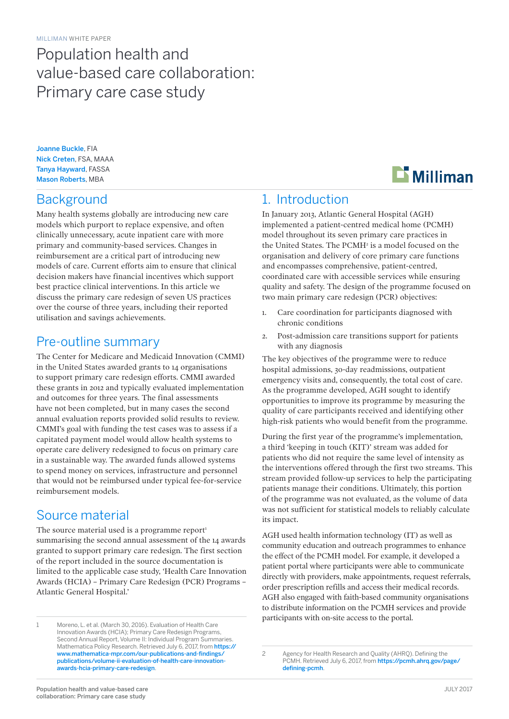# Population health and value-based care collaboration: Primary care case study

Joanne Buckle, FIA Nick Creten, FSA, MAAA Tanya Hayward, FASSA Mason Roberts, MBA

### **Background**

Many health systems globally are introducing new care models which purport to replace expensive, and often clinically unnecessary, acute inpatient care with more primary and community-based services. Changes in reimbursement are a critical part of introducing new models of care. Current efforts aim to ensure that clinical decision makers have financial incentives which support best practice clinical interventions. In this article we discuss the primary care redesign of seven US practices over the course of three years, including their reported utilisation and savings achievements.

### Pre-outline summary

The Center for Medicare and Medicaid Innovation (CMMI) in the United States awarded grants to 14 organisations to support primary care redesign efforts. CMMI awarded these grants in 2012 and typically evaluated implementation and outcomes for three years. The final assessments have not been completed, but in many cases the second annual evaluation reports provided solid results to review. CMMI's goal with funding the test cases was to assess if a capitated payment model would allow health systems to operate care delivery redesigned to focus on primary care in a sustainable way. The awarded funds allowed systems to spend money on services, infrastructure and personnel that would not be reimbursed under typical fee-for-service reimbursement models.

### Source material

The source material used is a programme report<sup>1</sup> summarising the second annual assessment of the 14 awards granted to support primary care redesign. The first section of the report included in the source documentation is limited to the applicable case study, 'Health Care Innovation Awards (HCIA) – Primary Care Redesign (PCR) Programs – Atlantic General Hospital.'

1 Moreno, L. et al. (March 30, 2016). Evaluation of Health Care Innovation Awards (HCIA); Primary Care Redesign Programs, Second Annual Report, Volume II: Individual Program Summaries. Mathematica Policy Research. Retrieved July 6, 2017, from [https://](https://www.mathematica-mpr.com/our-publications-and-findings/publications/volume-ii-evaluation-of-health-care-innovation-awards-hcia-primary-care-redesign) [www.mathematica-mpr.com/our-publications-and-findings/](https://www.mathematica-mpr.com/our-publications-and-findings/publications/volume-ii-evaluation-of-health-care-innovation-awards-hcia-primary-care-redesign) [publications/volume-ii-evaluation-of-health-care-innovation](https://www.mathematica-mpr.com/our-publications-and-findings/publications/volume-ii-evaluation-of-health-care-innovation-awards-hcia-primary-care-redesign)[awards-hcia-primary-care-redesign](https://www.mathematica-mpr.com/our-publications-and-findings/publications/volume-ii-evaluation-of-health-care-innovation-awards-hcia-primary-care-redesign).



### 1. Introduction

In January 2013, Atlantic General Hospital (AGH) implemented a patient-centred medical home (PCMH) model throughout its seven primary care practices in the United States. The PCMH<sup>2</sup> is a model focused on the organisation and delivery of core primary care functions and encompasses comprehensive, patient-centred, coordinated care with accessible services while ensuring quality and safety. The design of the programme focused on two main primary care redesign (PCR) objectives:

- 1. Care coordination for participants diagnosed with chronic conditions
- 2. Post-admission care transitions support for patients with any diagnosis

The key objectives of the programme were to reduce hospital admissions, 30-day readmissions, outpatient emergency visits and, consequently, the total cost of care. As the programme developed, AGH sought to identify opportunities to improve its programme by measuring the quality of care participants received and identifying other high-risk patients who would benefit from the programme.

During the first year of the programme's implementation, a third 'keeping in touch (KIT)' stream was added for patients who did not require the same level of intensity as the interventions offered through the first two streams. This stream provided follow-up services to help the participating patients manage their conditions. Ultimately, this portion of the programme was not evaluated, as the volume of data was not sufficient for statistical models to reliably calculate its impact.

AGH used health information technology (IT) as well as community education and outreach programmes to enhance the effect of the PCMH model. For example, it developed a patient portal where participants were able to communicate directly with providers, make appointments, request referrals, order prescription refills and access their medical records. AGH also engaged with faith-based community organisations to distribute information on the PCMH services and provide participants with on-site access to the portal.

2 Agency for Health Research and Quality (AHRQ). Defining the PCMH. Retrieved July 6, 2017, from [https://pcmh.ahrq.gov/page/](https://pcmh.ahrq.gov/page/defining-pcmh) [defining-pcmh](https://pcmh.ahrq.gov/page/defining-pcmh).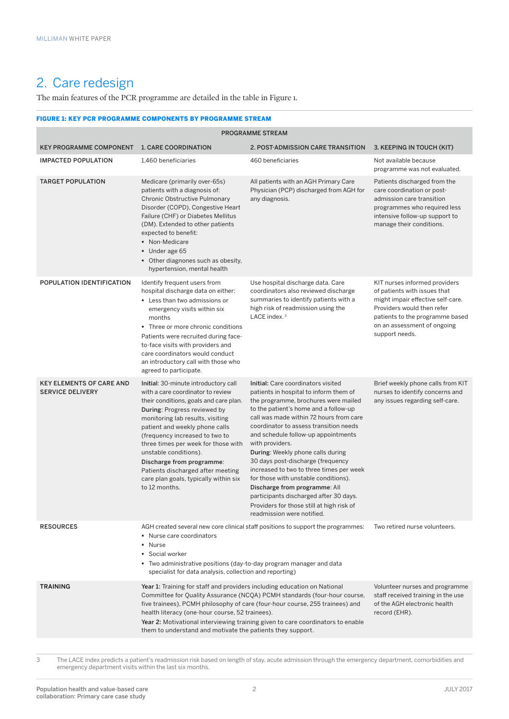# 2. Care redesign

The main features of the PCR programme are detailed in the table in Figure 1.

#### FIGURE 1: KEY PCR PROGRAMME COMPONENTS BY PROGRAMME STREAM

| <b>PROGRAMME STREAM</b>                                    |                                                                                                                                                                                                                                                                                                                                                                                                                                                                                                                                                                   |                                                                                                                                                                                                                                                                                                                                                                                                                                                                                                                                                                                                                                  |                                                                                                                                                                                                                      |  |  |  |  |  |  |
|------------------------------------------------------------|-------------------------------------------------------------------------------------------------------------------------------------------------------------------------------------------------------------------------------------------------------------------------------------------------------------------------------------------------------------------------------------------------------------------------------------------------------------------------------------------------------------------------------------------------------------------|----------------------------------------------------------------------------------------------------------------------------------------------------------------------------------------------------------------------------------------------------------------------------------------------------------------------------------------------------------------------------------------------------------------------------------------------------------------------------------------------------------------------------------------------------------------------------------------------------------------------------------|----------------------------------------------------------------------------------------------------------------------------------------------------------------------------------------------------------------------|--|--|--|--|--|--|
| <b>KEY PROGRAMME COMPONENT</b>                             | <b>1. CARE COORDINATION</b>                                                                                                                                                                                                                                                                                                                                                                                                                                                                                                                                       | 2. POST-ADMISSION CARE TRANSITION                                                                                                                                                                                                                                                                                                                                                                                                                                                                                                                                                                                                | 3. KEEPING IN TOUCH (KIT)                                                                                                                                                                                            |  |  |  |  |  |  |
| <b>IMPACTED POPULATION</b>                                 | 1,460 beneficiaries                                                                                                                                                                                                                                                                                                                                                                                                                                                                                                                                               | 460 beneficiaries                                                                                                                                                                                                                                                                                                                                                                                                                                                                                                                                                                                                                | Not available because<br>programme was not evaluated.                                                                                                                                                                |  |  |  |  |  |  |
| <b>TARGET POPULATION</b>                                   | Medicare (primarily over-65s)<br>patients with a diagnosis of:<br>Chronic Obstructive Pulmonary<br>Disorder (COPD), Congestive Heart<br>Failure (CHF) or Diabetes Mellitus<br>(DM). Extended to other patients<br>expected to benefit:<br>· Non-Medicare<br>Under age 65<br>• Other diagnones such as obesity,<br>hypertension, mental health                                                                                                                                                                                                                     | All patients with an AGH Primary Care<br>Physician (PCP) discharged from AGH for<br>any diagnosis.                                                                                                                                                                                                                                                                                                                                                                                                                                                                                                                               | Patients discharged from the<br>care coordination or post-<br>admission care transition<br>programmes who required less<br>intensive follow-up support to<br>manage their conditions.                                |  |  |  |  |  |  |
| POPULATION IDENTIFICATION                                  | Identify frequent users from<br>hospital discharge data on either:<br>• Less than two admissions or<br>emergency visits within six<br>months<br>• Three or more chronic conditions<br>Patients were recruited during face-<br>to-face visits with providers and<br>care coordinators would conduct<br>an introductory call with those who<br>agreed to participate.                                                                                                                                                                                               | Use hospital discharge data. Care<br>coordinators also reviewed discharge<br>summaries to identify patients with a<br>high risk of readmission using the<br>LACE index. <sup>3</sup>                                                                                                                                                                                                                                                                                                                                                                                                                                             | KIT nurses informed providers<br>of patients with issues that<br>might impair effective self-care.<br>Providers would then refer<br>patients to the programme based<br>on an assessment of ongoing<br>support needs. |  |  |  |  |  |  |
| <b>KEY ELEMENTS OF CARE AND</b><br><b>SERVICE DELIVERY</b> | Initial: 30-minute introductory call<br>with a care coordinator to review<br>their conditions, goals and care plan.<br>During: Progress reviewed by<br>monitoring lab results, visiting<br>patient and weekly phone calls<br>(frequency increased to two to<br>three times per week for those with<br>unstable conditions).<br>Discharge from programme:<br>Patients discharged after meeting<br>care plan goals, typically within six<br>to 12 months.                                                                                                           | Initial: Care coordinators visited<br>patients in hospital to inform them of<br>the programme, brochures were mailed<br>to the patient's home and a follow-up<br>call was made within 72 hours from care<br>coordinator to assess transition needs<br>and schedule follow-up appointments<br>with providers.<br>During: Weekly phone calls during<br>30 days post-discharge (frequency<br>increased to two to three times per week<br>for those with unstable conditions).<br>Discharge from programme: All<br>participants discharged after 30 days.<br>Providers for those still at high risk of<br>readmission were notified. | Brief weekly phone calls from KIT<br>nurses to identify concerns and<br>any issues regarding self-care.                                                                                                              |  |  |  |  |  |  |
| <b>RESOURCES</b>                                           | AGH created several new core clinical staff positions to support the programmes:<br>• Nurse care coordinators<br>• Nurse<br>• Social worker<br>• Two administrative positions (day-to-day program manager and data<br>specialist for data analysis, collection and reporting)                                                                                                                                                                                                                                                                                     | Two retired nurse volunteers.                                                                                                                                                                                                                                                                                                                                                                                                                                                                                                                                                                                                    |                                                                                                                                                                                                                      |  |  |  |  |  |  |
| <b>TRAINING</b>                                            | Year 1: Training for staff and providers including education on National<br>Volunteer nurses and programme<br>Committee for Quality Assurance (NCQA) PCMH standards (four-hour course,<br>staff received training in the use<br>five trainees), PCMH philosophy of care (four-hour course, 255 trainees) and<br>of the AGH electronic health<br>health literacy (one-hour course, 52 trainees).<br>record (EHR).<br>Year 2: Motivational interviewing training given to care coordinators to enable<br>them to understand and motivate the patients they support. |                                                                                                                                                                                                                                                                                                                                                                                                                                                                                                                                                                                                                                  |                                                                                                                                                                                                                      |  |  |  |  |  |  |

3 The LACE index predicts a patient's readmission risk based on length of stay, acute admission through the emergency department, comorbidities and emergency department visits within the last six months.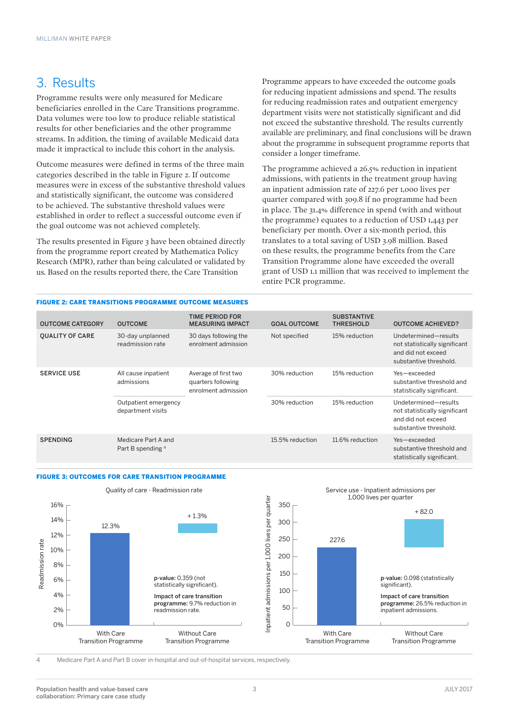## 3. Results

Programme results were only measured for Medicare beneficiaries enrolled in the Care Transitions programme. Data volumes were too low to produce reliable statistical results for other beneficiaries and the other programme streams. In addition, the timing of available Medicaid data made it impractical to include this cohort in the analysis.

Outcome measures were defined in terms of the three main categories described in the table in Figure 2. If outcome measures were in excess of the substantive threshold values and statistically significant, the outcome was considered to be achieved. The substantive threshold values were established in order to reflect a successful outcome even if the goal outcome was not achieved completely.

The results presented in Figure 3 have been obtained directly from the programme report created by Mathematica Policy Research (MPR), rather than being calculated or validated by us. Based on the results reported there, the Care Transition

Programme appears to have exceeded the outcome goals for reducing inpatient admissions and spend. The results for reducing readmission rates and outpatient emergency department visits were not statistically significant and did not exceed the substantive threshold. The results currently available are preliminary, and final conclusions will be drawn about the programme in subsequent programme reports that consider a longer timeframe.

The programme achieved a 26.5% reduction in inpatient admissions, with patients in the treatment group having an inpatient admission rate of 227.6 per 1,000 lives per quarter compared with 309.8 if no programme had been in place. The 31.4% difference in spend (with and without the programme) equates to a reduction of USD 1,443 per beneficiary per month. Over a six-month period, this translates to a total saving of USD 3.98 million. Based on these results, the programme benefits from the Care Transition Programme alone have exceeded the overall grant of USD 1.1 million that was received to implement the entire PCR programme.

#### FIGURE 2: CARE TRANSITIONS PROGRAMME OUTCOME MEASURES

| <b>OUTCOME CATEGORY</b> | <b>OUTCOME</b>                            | <b>TIME PERIOD FOR</b><br><b>MEASURING IMPACT</b>                 | <b>GOAL OUTCOME</b> | <b>SUBSTANTIVE</b><br><b>THRESHOLD</b> | <b>OUTCOME ACHIEVED?</b>                                                                              |
|-------------------------|-------------------------------------------|-------------------------------------------------------------------|---------------------|----------------------------------------|-------------------------------------------------------------------------------------------------------|
| <b>QUALITY OF CARE</b>  | 30-day unplanned<br>readmission rate      | 30 days following the<br>enrolment admission                      | Not specified       | 15% reduction                          | Undetermined-results<br>not statistically significant<br>and did not exceed<br>substantive threshold. |
| <b>SERVICE USE</b>      | All cause inpatient<br>admissions         | Average of first two<br>quarters following<br>enrolment admission | 30% reduction       | 15% reduction                          | Yes-exceeded<br>substantive threshold and<br>statistically significant.                               |
|                         | Outpatient emergency<br>department visits |                                                                   | 30% reduction       | 15% reduction                          | Undetermined-results<br>not statistically significant<br>and did not exceed<br>substantive threshold. |
| <b>SPENDING</b>         | Medicare Part A and<br>Part B spending 4  |                                                                   | 15.5% reduction     | 11.6% reduction                        | Yes-exceeded<br>substantive threshold and<br>statistically significant.                               |

#### FIGURE 3: OUTCOMES FOR CARE TRANSITION PROGRAMME



4 Medicare Part A and Part B cover in-hospital and out-of-hospital services, respectively.